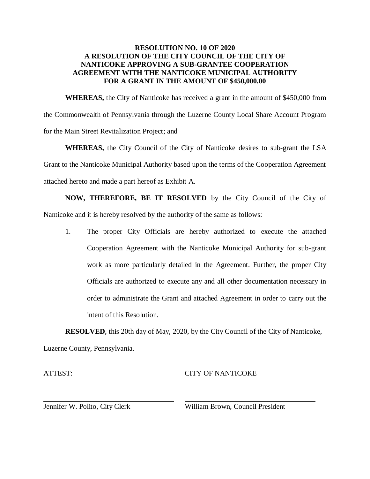### **RESOLUTION NO. 10 OF 2020 A RESOLUTION OF THE CITY COUNCIL OF THE CITY OF NANTICOKE APPROVING A SUB-GRANTEE COOPERATION AGREEMENT WITH THE NANTICOKE MUNICIPAL AUTHORITY FOR A GRANT IN THE AMOUNT OF \$450,000.00**

**WHEREAS,** the City of Nanticoke has received a grant in the amount of \$450,000 from the Commonwealth of Pennsylvania through the Luzerne County Local Share Account Program for the Main Street Revitalization Project; and

**WHEREAS,** the City Council of the City of Nanticoke desires to sub-grant the LSA Grant to the Nanticoke Municipal Authority based upon the terms of the Cooperation Agreement attached hereto and made a part hereof as Exhibit A.

**NOW, THEREFORE, BE IT RESOLVED** by the City Council of the City of Nanticoke and it is hereby resolved by the authority of the same as follows:

1. The proper City Officials are hereby authorized to execute the attached Cooperation Agreement with the Nanticoke Municipal Authority for sub-grant work as more particularly detailed in the Agreement. Further, the proper City Officials are authorized to execute any and all other documentation necessary in order to administrate the Grant and attached Agreement in order to carry out the intent of this Resolution.

**RESOLVED**, this 20th day of May, 2020, by the City Council of the City of Nanticoke,

Luzerne County, Pennsylvania.

ATTEST:

### CITY OF NANTICOKE

Jennifer W. Polito, City Clerk

William Brown, Council President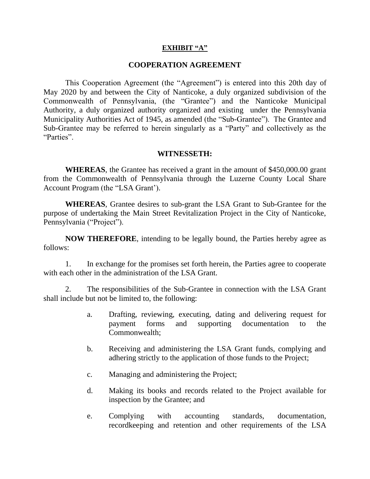#### **EXHIBIT "A"**

#### **COOPERATION AGREEMENT**

This Cooperation Agreement (the "Agreement") is entered into this 20th day of May 2020 by and between the City of Nanticoke, a duly organized subdivision of the Commonwealth of Pennsylvania, (the "Grantee") and the Nanticoke Municipal Authority, a duly organized authority organized and existing under the Pennsylvania Municipality Authorities Act of 1945, as amended (the "Sub-Grantee"). The Grantee and Sub-Grantee may be referred to herein singularly as a "Party" and collectively as the "Parties".

## **WITNESSETH:**

**WHEREAS**, the Grantee has received a grant in the amount of \$450,000.00 grant from the Commonwealth of Pennsylvania through the Luzerne County Local Share Account Program (the "LSA Grant').

**WHEREAS**, Grantee desires to sub-grant the LSA Grant to Sub-Grantee for the purpose of undertaking the Main Street Revitalization Project in the City of Nanticoke, Pennsylvania ("Project").

**NOW THEREFORE**, intending to be legally bound, the Parties hereby agree as follows:

1. In exchange for the promises set forth herein, the Parties agree to cooperate with each other in the administration of the LSA Grant.

2. The responsibilities of the Sub-Grantee in connection with the LSA Grant shall include but not be limited to, the following:

- a. Drafting, reviewing, executing, dating and delivering request for payment forms and supporting documentation to the Commonwealth;
- b. Receiving and administering the LSA Grant funds, complying and adhering strictly to the application of those funds to the Project;
- c. Managing and administering the Project;
- d. Making its books and records related to the Project available for inspection by the Grantee; and
- e. Complying with accounting standards, documentation, recordkeeping and retention and other requirements of the LSA